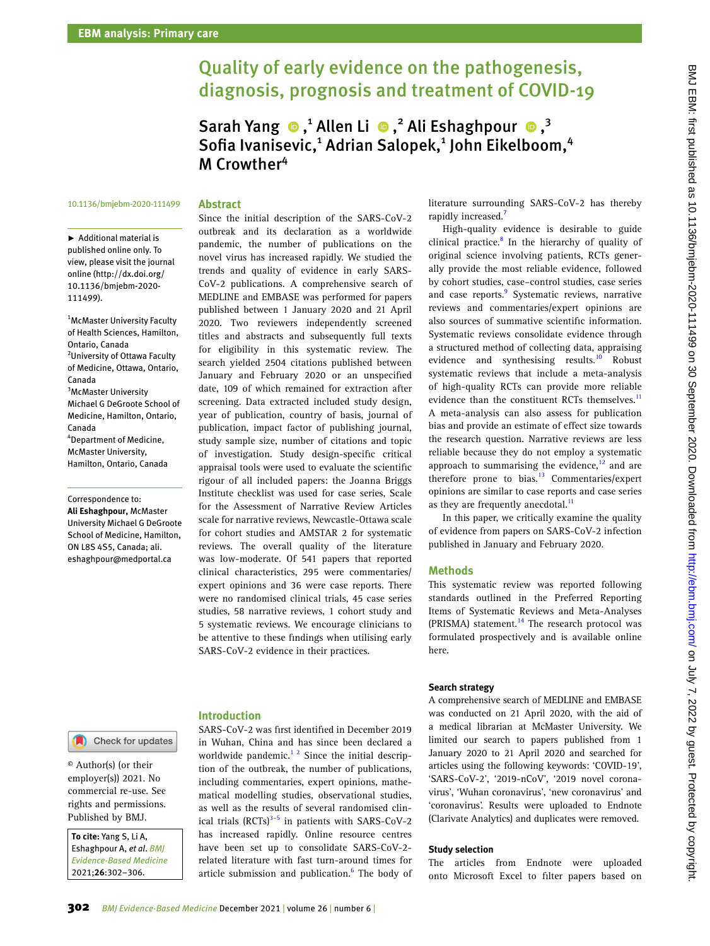# Quality of early evidence on the pathogenesis, diagnosis, prognosis and treatment of COVID-19

Sarah Yang (a,<sup>1</sup> Allen Li (a,<sup>2</sup> Ali Eshaghpour (a,<sup>3</sup>) Sofia Ivanisevic,<sup>1</sup> Adrian Salopek,<sup>1</sup> John Eikelboom,<sup>4</sup> M Crowther<sup>4</sup>

#### 10.1136/bmjebm-2020-111499

#### **Abstract**

► Additional material is published online only. To view, please visit the journal online (http://dx.doi.org/ 10.1136/bmjebm-2020- 111499).

<sup>1</sup>McMaster University Faculty of Health Sciences, Hamilton, Ontario, Canada <sup>2</sup>University of Ottawa Faculty of Medicine, Ottawa, Ontario, Canada <sup>3</sup>McMaster University Michael G DeGroote School of Medicine, Hamilton, Ontario, Canada 4 Department of Medicine, McMaster University, Hamilton, Ontario, Canada

Correspondence to: *Ali Eshaghpour,* McMaster University Michael G DeGroote School of Medicine, Hamilton, ON L8S 4S5, Canada; ali. eshaghpour@medportal.ca

# Since the initial description of the SARS-CoV-2 outbreak and its declaration as a worldwide pandemic, the number of publications on the novel virus has increased rapidly. We studied the trends and quality of evidence in early SARS-CoV-2 publications. A comprehensive search of MEDLINE and EMBASE was performed for papers published between 1 January 2020 and 21 April 2020. Two reviewers independently screened titles and abstracts and subsequently full texts for eligibility in this systematic review. The search yielded 2504 citations published between January and February 2020 or an unspecified date, 109 of which remained for extraction after screening. Data extracted included study design, year of publication, country of basis, journal of publication, impact factor of publishing journal, study sample size, number of citations and topic of investigation. Study design-specific critical appraisal tools were used to evaluate the scientific rigour of all included papers: the Joanna Briggs Institute checklist was used for case series, Scale for the Assessment of Narrative Review Articles scale for narrative reviews, Newcastle-Ottawa scale for cohort studies and AMSTAR 2 for systematic reviews. The overall quality of the literature was low-moderate. Of 541 papers that reported clinical characteristics, 295 were commentaries/ expert opinions and 36 were case reports. There were no randomised clinical trials, 45 case series studies, 58 narrative reviews, 1 cohort study and 5 systematic reviews. We encourage clinicians to be attentive to these findings when utilising early SARS-CoV-2 evidence in their practices.

Check for updates

© Author(s) (or their employer(s)) 2021. No commercial re-use. See rights and permissions. Published by BMJ.

*To cite:* Yang S, Li A, Eshaghpour A, *et al*. *BMJ Evidence-Based Medicine* 2021;*26*:302–306.

### **Introduction**

SARS-CoV-2 was first identified in December 2019 in Wuhan, China and has since been declared a worldwide pandemic. $12$  Since the initial description of the outbreak, the number of publications, including commentaries, expert opinions, mathematical modelling studies, observational studies, as well as the results of several randomised clinical trials  $(RCTs)^{3-5}$  in patients with SARS-CoV-2 has increased rapidly. Online resource centres have been set up to consolidate SARS-CoV-2 related literature with fast turn-around times for article submission and publication.<sup>6</sup> The body of literature surrounding SARS-CoV-2 has thereby rapidly increased.

High-quality evidence is desirable to guide clinical practice.<sup>8</sup> In the hierarchy of quality of original science involving patients, RCTs generally provide the most reliable evidence, followed by cohort studies, case–control studies, case series and case reports.<sup>9</sup> Systematic reviews, narrative reviews and commentaries/expert opinions are also sources of summative scientific information. Systematic reviews consolidate evidence through a structured method of collecting data, appraising evidence and synthesising results.<sup>10</sup> Robust systematic reviews that include a meta-analysis of high-quality RCTs can provide more reliable evidence than the constituent RCTs themselves.<sup>11</sup> A meta-analysis can also assess for publication bias and provide an estimate of effect size towards the research question. Narrative reviews are less reliable because they do not employ a systematic approach to summarising the evidence, $12$  and are therefore prone to bias.<sup>13</sup> Commentaries/expert opinions are similar to case reports and case series as they are frequently anecdotal. $<sup>11</sup>$ </sup>

In this paper, we critically examine the quality of evidence from papers on SARS-CoV-2 infection published in January and February 2020.

### **Methods**

This systematic review was reported following standards outlined in the Preferred Reporting Items of Systematic Reviews and Meta-Analyses (PRISMA) statement.14 The research protocol was formulated prospectively and is available online here.

#### **Search strategy**

A comprehensive search of MEDLINE and EMBASE was conducted on 21 April 2020, with the aid of a medical librarian at McMaster University. We limited our search to papers published from 1 January 2020 to 21 April 2020 and searched for articles using the following keywords: 'COVID-19', 'SARS-CoV-2', '2019-nCoV', '2019 novel coronavirus', 'Wuhan coronavirus', 'new coronavirus' and 'coronavirus'. Results were uploaded to Endnote (Clarivate Analytics) and duplicates were removed.

## **Study selection**

The articles from Endnote were uploaded onto Microsoft Excel to filter papers based on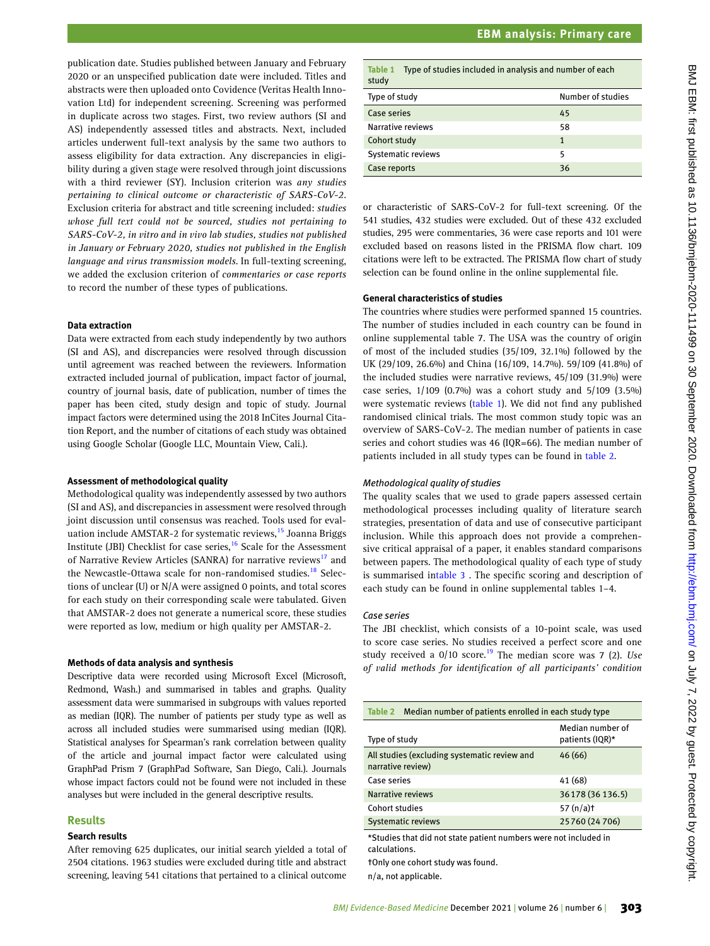publication date. Studies published between January and February 2020 or an unspecified publication date were included. Titles and abstracts were then uploaded onto Covidence (Veritas Health Innovation Ltd) for independent screening. Screening was performed in duplicate across two stages. First, two review authors (SI and AS) independently assessed titles and abstracts. Next, included articles underwent full-text analysis by the same two authors to assess eligibility for data extraction. Any discrepancies in eligibility during a given stage were resolved through joint discussions with a third reviewer (SY). Inclusion criterion was *any studies pertaining to clinical outcome or characteristic of SARS-CoV-2*. Exclusion criteria for abstract and title screening included: *studies whose full text could not be sourced, studies not pertaining to SARS-CoV-2, in vitro and in vivo lab studies, studies not published in January or February 2020, studies not published in the English language and virus transmission models*. In full-texting screening, we added the exclusion criterion of *commentaries or case reports* to record the number of these types of publications.

## **Data extraction**

Data were extracted from each study independently by two authors (SI and AS), and discrepancies were resolved through discussion until agreement was reached between the reviewers. Information extracted included journal of publication, impact factor of journal, country of journal basis, date of publication, number of times the paper has been cited, study design and topic of study. Journal impact factors were determined using the 2018 InCites Journal Citation Report, and the number of citations of each study was obtained using Google Scholar (Google LLC, Mountain View, Cali.).

### **Assessment of methodological quality**

Methodological quality was independently assessed by two authors (SI and AS), and discrepancies in assessment were resolved through joint discussion until consensus was reached. Tools used for evaluation include AMSTAR-2 for systematic reviews,<sup>15</sup> Joanna Briggs Institute (JBI) Checklist for case series, $16$  Scale for the Assessment of Narrative Review Articles (SANRA) for narrative reviews<sup>17</sup> and the Newcastle-Ottawa scale for non-randomised studies.<sup>18</sup> Selections of unclear (U) or N/A were assigned 0 points, and total scores for each study on their corresponding scale were tabulated. Given that AMSTAR-2 does not generate a numerical score, these studies were reported as low, medium or high quality per AMSTAR-2.

### **Methods of data analysis and synthesis**

Descriptive data were recorded using Microsoft Excel (Microsoft, Redmond, Wash.) and summarised in tables and graphs. Quality assessment data were summarised in subgroups with values reported as median (IQR). The number of patients per study type as well as across all included studies were summarised using median (IQR). Statistical analyses for Spearman's rank correlation between quality of the article and journal impact factor were calculated using GraphPad Prism 7 (GraphPad Software, San Diego, Cali.). Journals whose impact factors could not be found were not included in these analyses but were included in the general descriptive results.

## **Results**

### **Search results**

After removing 625 duplicates, our initial search yielded a total of 2504 citations. 1963 studies were excluded during title and abstract screening, leaving 541 citations that pertained to a clinical outcome

| Type of studies included in analysis and number of each<br>Table 1<br>study |                   |
|-----------------------------------------------------------------------------|-------------------|
| Type of study                                                               | Number of studies |
| Case series                                                                 | 45                |
| Narrative reviews                                                           | 58                |
| Cohort study                                                                | 1                 |
| Systematic reviews                                                          | 5                 |
| Case reports                                                                | 36                |

or characteristic of SARS-CoV-2 for full-text screening. Of the 541 studies, 432 studies were excluded. Out of these 432 excluded studies, 295 were commentaries, 36 were case reports and 101 were excluded based on reasons listed in the PRISMA flow chart. 109 citations were left to be extracted. The PRISMA flow chart of study selection can be found online in the online supplemental file.

## **General characteristics of studies**

The countries where studies were performed spanned 15 countries. The number of studies included in each country can be found in online supplemental table 7. The USA was the country of origin of most of the included studies (35/109, 32.1%) followed by the UK (29/109, 26.6%) and China (16/109, 14.7%). 59/109 (41.8%) of the included studies were narrative reviews, 45/109 (31.9%) were case series, 1/109 (0.7%) was a cohort study and 5/109 (3.5%) were systematic reviews (table 1). We did not find any published randomised clinical trials. The most common study topic was an overview of SARS-CoV-2. The median number of patients in case series and cohort studies was 46 (IQR=66). The median number of patients included in all study types can be found in table 2.

### *Methodological quality of studies*

The quality scales that we used to grade papers assessed certain methodological processes including quality of literature search strategies, presentation of data and use of consecutive participant inclusion. While this approach does not provide a comprehensive critical appraisal of a paper, it enables standard comparisons between papers. The methodological quality of each type of study is summarised intable 3 . The specific scoring and description of each study can be found in online supplemental tables 1–4.

## *Case series*

The JBI checklist, which consists of a 10-point scale, was used to score case series. No studies received a perfect score and one study received a 0/10 score.<sup>19</sup> The median score was 7 (2). *Use of valid methods for identification of all participants' condition*

| Table 2 Median number of patients enrolled in each study type     |                                     |  |
|-------------------------------------------------------------------|-------------------------------------|--|
| Type of study                                                     | Median number of<br>patients (IQR)* |  |
| All studies (excluding systematic review and<br>narrative review) | 46(66)                              |  |
| Case series                                                       | 41 (68)                             |  |
| Narrative reviews                                                 | 36 178 (36 136.5)                   |  |
| Cohort studies                                                    | $57 (n/a)$ t                        |  |
| <b>Systematic reviews</b>                                         | 25760 (24 706)                      |  |
| *Studies that did not state patient numbers were not included in  |                                     |  |

calculations.

†Only one cohort study was found.

n/a, not applicable.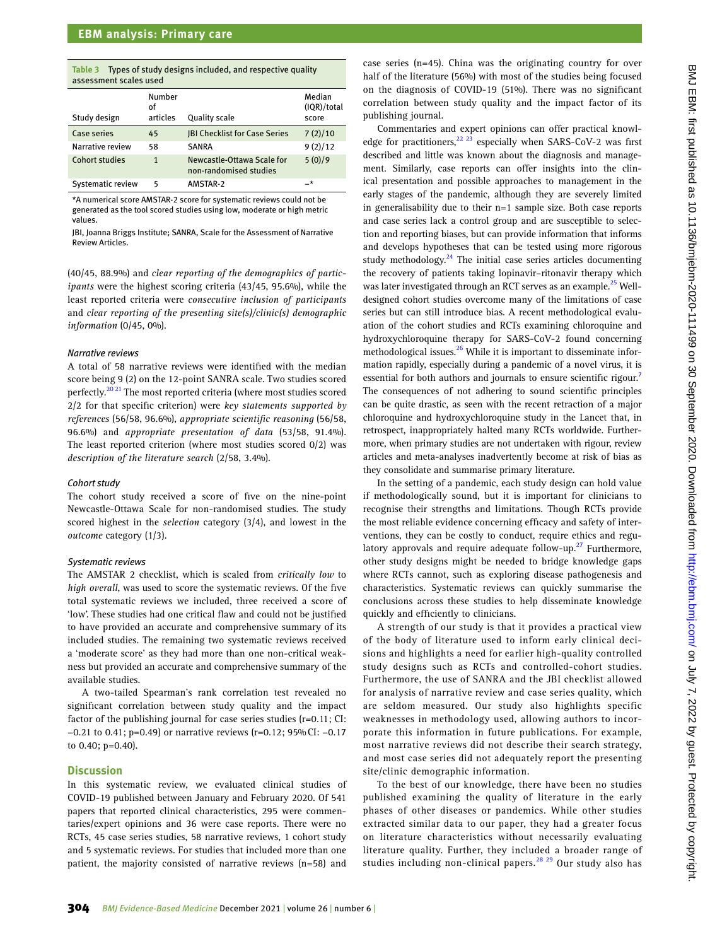| Types of study designs included, and respective quality<br>Table 3<br>assessment scales used |                          |                                                      |                                |  |
|----------------------------------------------------------------------------------------------|--------------------------|------------------------------------------------------|--------------------------------|--|
| Study design                                                                                 | Number<br>οf<br>articles | <b>Quality scale</b>                                 | Median<br>(IQR)/total<br>score |  |
| Case series                                                                                  | 45                       | <b>JBI Checklist for Case Series</b>                 | 7(2)/10                        |  |
| Narrative review                                                                             | 58                       | <b>SANRA</b>                                         | 9(2)/12                        |  |
| <b>Cohort studies</b>                                                                        | 1                        | Newcastle-Ottawa Scale for<br>non-randomised studies | 5(0)/9                         |  |
| <b>Systematic review</b>                                                                     | 5                        | AMSTAR-2                                             | _*                             |  |

\*A numerical score AMSTAR-2 score for systematic reviews could not be generated as the tool scored studies using low, moderate or high metric values.

JBI, Joanna Briggs Institute; SANRA, Scale for the Assessment of Narrative Review Articles.

(40/45, 88.9%) and *clear reporting of the demographics of participants* were the highest scoring criteria (43/45, 95.6%), while the least reported criteria were *consecutive inclusion of participants* and *clear reporting of the presenting site(s)/clinic(s) demographic information* (0/45, 0%).

#### *Narrative reviews*

A total of 58 narrative reviews were identified with the median score being 9 (2) on the 12-point SANRA scale. Two studies scored perfectly.<sup>20 21</sup> The most reported criteria (where most studies scored 2/2 for that specific criterion) were *key statements supported by references* (56/58, 96.6%), *appropriate scientific reasoning* (56/58, 96.6%) and *appropriate presentation of data* (53/58, 91.4%). The least reported criterion (where most studies scored 0/2) was *description of the literature search* (2/58, 3.4%).

#### *Cohort study*

The cohort study received a score of five on the nine-point Newcastle-Ottawa Scale for non-randomised studies. The study scored highest in the *selection* category (3/4), and lowest in the *outcome* category (1/3).

#### *Systematic reviews*

The AMSTAR 2 checklist, which is scaled from *critically low* to *high overall*, was used to score the systematic reviews. Of the five total systematic reviews we included, three received a score of 'low'. These studies had one critical flaw and could not be justified to have provided an accurate and comprehensive summary of its included studies. The remaining two systematic reviews received a 'moderate score' as they had more than one non-critical weakness but provided an accurate and comprehensive summary of the available studies.

A two-tailed Spearman's rank correlation test revealed no significant correlation between study quality and the impact factor of the publishing journal for case series studies (r=0.11; CI: −0.21 to 0.41; p=0.49) or narrative reviews (r=0.12; 95%CI: −0.17 to 0.40; p=0.40).

#### **Discussion**

In this systematic review, we evaluated clinical studies of COVID-19 published between January and February 2020. Of 541 papers that reported clinical characteristics, 295 were commentaries/expert opinions and 36 were case reports. There were no RCTs, 45 case series studies, 58 narrative reviews, 1 cohort study and 5 systematic reviews. For studies that included more than one patient, the majority consisted of narrative reviews (n=58) and

case series (n=45). China was the originating country for over half of the literature (56%) with most of the studies being focused on the diagnosis of COVID-19 (51%). There was no significant correlation between study quality and the impact factor of its publishing journal.

Commentaries and expert opinions can offer practical knowledge for practitioners,  $22 \times 23$  especially when SARS-CoV-2 was first described and little was known about the diagnosis and management. Similarly, case reports can offer insights into the clinical presentation and possible approaches to management in the early stages of the pandemic, although they are severely limited in generalisability due to their n=1 sample size. Both case reports and case series lack a control group and are susceptible to selection and reporting biases, but can provide information that informs and develops hypotheses that can be tested using more rigorous study methodology.<sup>24</sup> The initial case series articles documenting the recovery of patients taking lopinavir–ritonavir therapy which was later investigated through an RCT serves as an example.<sup>25</sup> Welldesigned cohort studies overcome many of the limitations of case series but can still introduce bias. A recent methodological evaluation of the cohort studies and RCTs examining chloroquine and hydroxychloroquine therapy for SARS-CoV-2 found concerning methodological issues. $^{26}$  While it is important to disseminate information rapidly, especially during a pandemic of a novel virus, it is essential for both authors and journals to ensure scientific rigour.<sup>7</sup> The consequences of not adhering to sound scientific principles can be quite drastic, as seen with the recent retraction of a major chloroquine and hydroxychloroquine study in the Lancet that, in retrospect, inappropriately halted many RCTs worldwide. Furthermore, when primary studies are not undertaken with rigour, review articles and meta-analyses inadvertently become at risk of bias as they consolidate and summarise primary literature.

In the setting of a pandemic, each study design can hold value if methodologically sound, but it is important for clinicians to recognise their strengths and limitations. Though RCTs provide the most reliable evidence concerning efficacy and safety of interventions, they can be costly to conduct, require ethics and regulatory approvals and require adequate follow-up. $^{27}$  Furthermore, other study designs might be needed to bridge knowledge gaps where RCTs cannot, such as exploring disease pathogenesis and characteristics. Systematic reviews can quickly summarise the conclusions across these studies to help disseminate knowledge quickly and efficiently to clinicians.

A strength of our study is that it provides a practical view of the body of literature used to inform early clinical decisions and highlights a need for earlier high-quality controlled study designs such as RCTs and controlled-cohort studies. Furthermore, the use of SANRA and the JBI checklist allowed for analysis of narrative review and case series quality, which are seldom measured. Our study also highlights specific weaknesses in methodology used, allowing authors to incorporate this information in future publications. For example, most narrative reviews did not describe their search strategy, and most case series did not adequately report the presenting site/clinic demographic information.

To the best of our knowledge, there have been no studies published examining the quality of literature in the early phases of other diseases or pandemics. While other studies extracted similar data to our paper, they had a greater focus on literature characteristics without necessarily evaluating literature quality. Further, they included a broader range of studies including non-clinical papers.<sup>28</sup> <sup>29</sup> Our study also has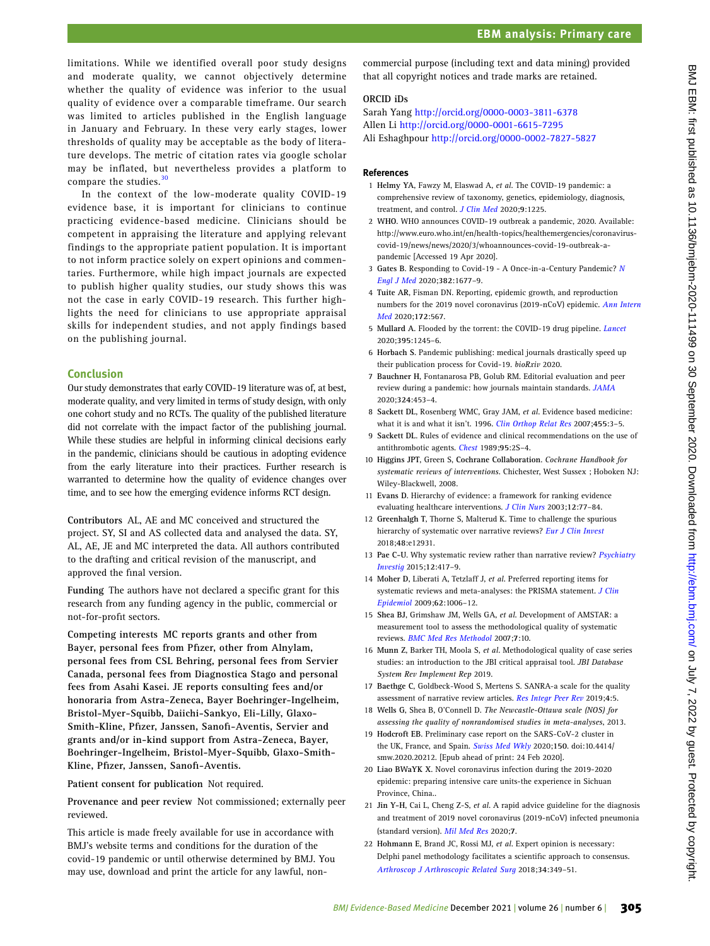limitations. While we identified overall poor study designs and moderate quality, we cannot objectively determine whether the quality of evidence was inferior to the usual quality of evidence over a comparable timeframe. Our search was limited to articles published in the English language in January and February. In these very early stages, lower thresholds of quality may be acceptable as the body of literature develops. The metric of citation rates via google scholar may be inflated, but nevertheless provides a platform to compare the studies.<sup>30</sup>

In the context of the low-moderate quality COVID-19 evidence base, it is important for clinicians to continue practicing evidence-based medicine. Clinicians should be competent in appraising the literature and applying relevant findings to the appropriate patient population. It is important to not inform practice solely on expert opinions and commentaries. Furthermore, while high impact journals are expected to publish higher quality studies, our study shows this was not the case in early COVID-19 research. This further highlights the need for clinicians to use appropriate appraisal skills for independent studies, and not apply findings based on the publishing journal.

# **Conclusion**

Our study demonstrates that early COVID-19 literature was of, at best, moderate quality, and very limited in terms of study design, with only one cohort study and no RCTs. The quality of the published literature did not correlate with the impact factor of the publishing journal. While these studies are helpful in informing clinical decisions early in the pandemic, clinicians should be cautious in adopting evidence from the early literature into their practices. Further research is warranted to determine how the quality of evidence changes over time, and to see how the emerging evidence informs RCT design.

**Contributors** AL, AE and MC conceived and structured the project. SY, SI and AS collected data and analysed the data. SY, AL, AE, JE and MC interpreted the data. All authors contributed to the drafting and critical revision of the manuscript, and approved the final version.

**Funding** The authors have not declared a specific grant for this research from any funding agency in the public, commercial or not-for-profit sectors.

**Competing interests MC reports grants and other from Bayer, personal fees from Pfizer, other from Alnylam, personal fees from CSL Behring, personal fees from Servier Canada, personal fees from Diagnostica Stago and personal fees from Asahi Kasei. JE reports consulting fees and/or honoraria from Astra-Zeneca, Bayer Boehringer-Ingelheim, Bristol-Myer-Squibb, Daiichi-Sankyo, Eli-Lilly, Glaxo-Smith-Kline, Pfizer, Janssen, Sanofi-Aventis, Servier and grants and/or in-kind support from Astra-Zeneca, Bayer, Boehringer-Ingelheim, Bristol-Myer-Squibb, Glaxo-Smith-Kline, Pfizer, Janssen, Sanofi-Aventis.**

**Patient consent for publication** Not required.

**Provenance and peer review** Not commissioned; externally peer reviewed.

This article is made freely available for use in accordance with BMJ's website terms and conditions for the duration of the covid-19 pandemic or until otherwise determined by BMJ. You may use, download and print the article for any lawful, noncommercial purpose (including text and data mining) provided that all copyright notices and trade marks are retained.

# **ORCID iDs**

Sarah Yang http://orcid.org/0000-0003-3811-6378 Allen Li http://orcid.org/0000-0001-6615-7295 Ali Eshaghpour http://orcid.org/0000-0002-7827-5827

# **References**

- 1 **Helmy YA**, Fawzy M, Elaswad A, *et al*. The COVID-19 pandemic: a comprehensive review of taxonomy, genetics, epidemiology, diagnosis, treatment, and control. *J Clin Med* 2020;**9**:1225.
- 2 **WHO**. WHO announces COVID-19 outbreak a pandemic, 2020. Available: http://www.euro.who.int/en/health-topics/healthemergencies/coronaviruscovid-19/news/news/2020/3/whoannounces-covid-19-outbreak-apandemic [Accessed 19 Apr 2020].
- 3 **Gates B**. Responding to Covid-19 A Once-in-a-Century Pandemic? *N Engl J Med* 2020;**382**:1677–9.
- 4 **Tuite AR**, Fisman DN. Reporting, epidemic growth, and reproduction numbers for the 2019 novel coronavirus (2019-nCoV) epidemic. *Ann Intern Med* 2020;**172**:567.
- 5 **Mullard A**. Flooded by the torrent: the COVID-19 drug pipeline. *Lancet* 2020;**395**:1245–6.
- 6 **Horbach S**. Pandemic publishing: medical journals drastically speed up their publication process for Covid-19. *bioRxiv* 2020.
- 7 **Bauchner H**, Fontanarosa PB, Golub RM. Editorial evaluation and peer review during a pandemic: how journals maintain standards. *JAMA* 2020;**324**:453–4.
- 8 **Sackett DL**, Rosenberg WMC, Gray JAM, *et al*. Evidence based medicine: what it is and what it isn't. 1996. *Clin Orthop Relat Res* 2007;**455**:3–5.
- 9 **Sackett DL**. Rules of evidence and clinical recommendations on the use of antithrombotic agents. *Chest* 1989;**95**:2S–4.
- 10 **Higgins JPT**, Green S, **Cochrane Collaboration**. *Cochrane Handbook for systematic reviews of interventions*. Chichester, West Sussex ; Hoboken NJ: Wiley-Blackwell, 2008.
- 11 **Evans D**. Hierarchy of evidence: a framework for ranking evidence evaluating healthcare interventions. *J Clin Nurs* 2003;**12**:77–84.
- 12 **Greenhalgh T**, Thorne S, Malterud K. Time to challenge the spurious hierarchy of systematic over narrative reviews? *Eur J Clin Invest* 2018;**48**:e12931.
- 13 **Pae C-U**. Why systematic review rather than narrative review? *Psychiatry Investig* 2015;**12**:417–9.
- 14 **Moher D**, Liberati A, Tetzlaff J, *et al*. Preferred reporting items for systematic reviews and meta-analyses: the PRISMA statement. *J Clin Epidemiol* 2009;**62**:1006–12.
- 15 **Shea BJ**, Grimshaw JM, Wells GA, *et al*. Development of AMSTAR: a measurement tool to assess the methodological quality of systematic reviews. *BMC Med Res Methodol* 2007;**7**:10.
- 16 **Munn Z**, Barker TH, Moola S, *et al*. Methodological quality of case series studies: an introduction to the JBI critical appraisal tool. *JBI Database System Rev Implement Rep* 2019.
- 17 **Baethge C**, Goldbeck-Wood S, Mertens S. SANRA-a scale for the quality assessment of narrative review articles. *Res Integr Peer Rev* 2019;**4**:5.
- 18 **Wells G**, Shea B, O'Connell D. *The Newcastle-Ottawa scale (NOS) for assessing the quality of nonrandomised studies in meta-analyses*, 2013.
- 19 **Hodcroft EB**. Preliminary case report on the SARS-CoV-2 cluster in the UK, France, and Spain. *Swiss Med Wkly* 2020;**150**. doi:10.4414/ smw.2020.20212. [Epub ahead of print: 24 Feb 2020].
- 20 **Liao BWaYK X**. Novel coronavirus infection during the 2019-2020 epidemic: preparing intensive care units-the experience in Sichuan Province, China..

22 **Hohmann E**, Brand JC, Rossi MJ, *et al*. Expert opinion is necessary: Delphi panel methodology facilitates a scientific approach to consensus.

21 **Jin Y-H**, Cai L, Cheng Z-S, *et al*. A rapid advice guideline for the diagnosis and treatment of 2019 novel coronavirus (2019-nCoV) infected pneumonia (standard version). *Mil Med Res* 2020;**7**.